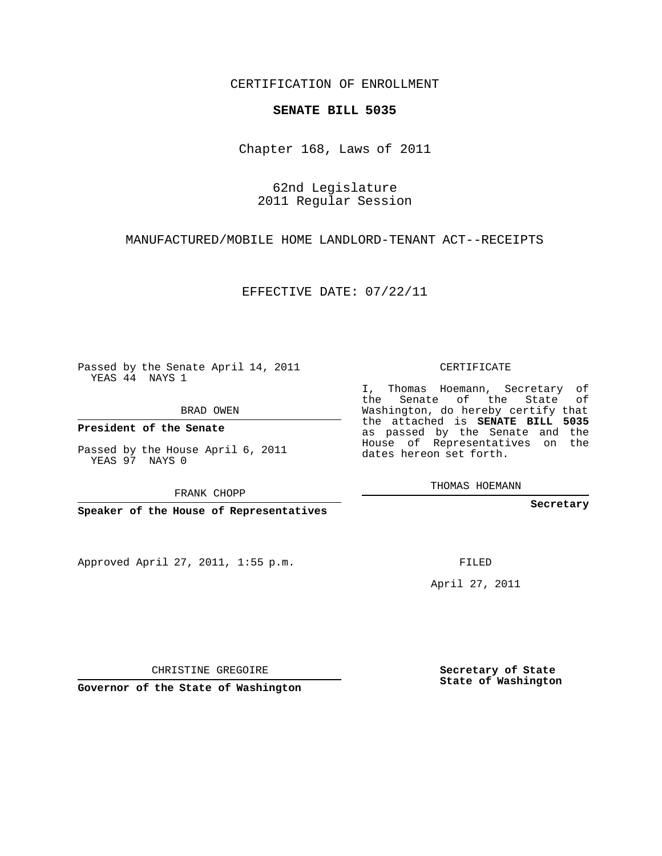CERTIFICATION OF ENROLLMENT

## **SENATE BILL 5035**

Chapter 168, Laws of 2011

62nd Legislature 2011 Regular Session

MANUFACTURED/MOBILE HOME LANDLORD-TENANT ACT--RECEIPTS

EFFECTIVE DATE: 07/22/11

Passed by the Senate April 14, 2011 YEAS 44 NAYS 1

BRAD OWEN

**President of the Senate**

Passed by the House April 6, 2011 YEAS 97 NAYS 0

FRANK CHOPP

**Speaker of the House of Representatives**

Approved April 27, 2011, 1:55 p.m.

CERTIFICATE

I, Thomas Hoemann, Secretary of the Senate of the State of Washington, do hereby certify that the attached is **SENATE BILL 5035** as passed by the Senate and the House of Representatives on the dates hereon set forth.

THOMAS HOEMANN

**Secretary**

FILED

April 27, 2011

**Secretary of State State of Washington**

CHRISTINE GREGOIRE

**Governor of the State of Washington**